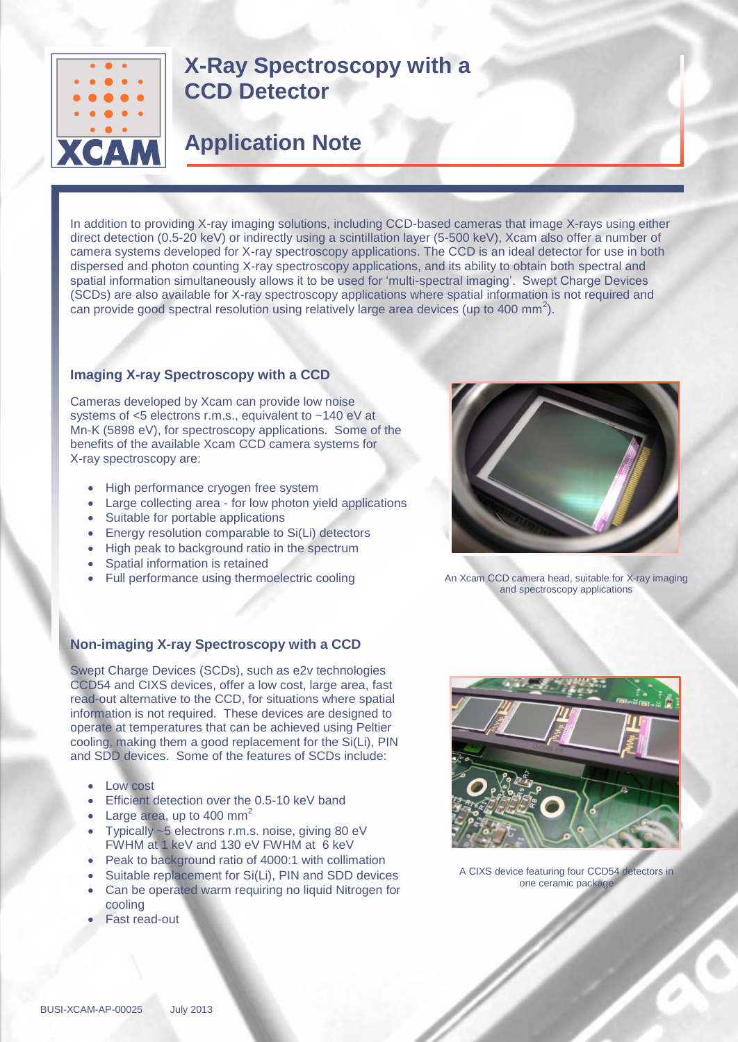

# **X-Ray Spectroscopy with a CCD Detector**

# **Application Note**

In addition to providing X-ray imaging solutions, including CCD-based cameras that image X-rays using either direct detection (0.5-20 keV) or indirectly using a scintillation layer (5-500 keV), Xcam also offer a number of camera systems developed for X-ray spectroscopy applications. The CCD is an ideal detector for use in both dispersed and photon counting X-ray spectroscopy applications, and its ability to obtain both spectral and spatial information simultaneously allows it to be used for 'multi-spectral imaging'. Swept Charge Devices (SCDs) are also available for X-ray spectroscopy applications where spatial information is not required and can provide good spectral resolution using relatively large area devices (up to 400 mm<sup>2</sup>).

## **Imaging X-ray Spectroscopy with a CCD**

Cameras developed by Xcam can provide low noise systems of <5 electrons r.m.s., equivalent to ~140 eV at Mn-K (5898 eV), for spectroscopy applications. Some of the benefits of the available Xcam CCD camera systems for X-ray spectroscopy are:

- High performance cryogen free system
- Large collecting area for low photon yield applications
- Suitable for portable applications
- Energy resolution comparable to Si(Li) detectors
- High peak to background ratio in the spectrum
- Spatial information is retained
- Full performance using thermoelectric cooling

## **Non-imaging X-ray Spectroscopy with a CCD**

Swept Charge Devices (SCDs), such as e2v technologies CCD54 and CIXS devices, offer a low cost, large area, fast read-out alternative to the CCD, for situations where spatial information is not required. These devices are designed to operate at temperatures that can be achieved using Peltier cooling, making them a good replacement for the Si(Li), PIN and SDD devices. Some of the features of SCDs include:

- Low cost
- Efficient detection over the 0.5-10 keV band
- Large area, up to 400 mm<sup>2</sup>
- Typically ~5 electrons r.m.s. noise, giving 80 eV FWHM at 1 keV and 130 eV FWHM at 6 keV
- Peak to background ratio of 4000:1 with collimation
- Suitable replacement for Si(Li), PIN and SDD devices
- Can be operated warm requiring no liquid Nitrogen for cooling
- Fast read-out



An Xcam CCD camera head, suitable for X-ray imaging and spectroscopy applications



A CIXS device featuring four CCD54 detectors in one ceramic package